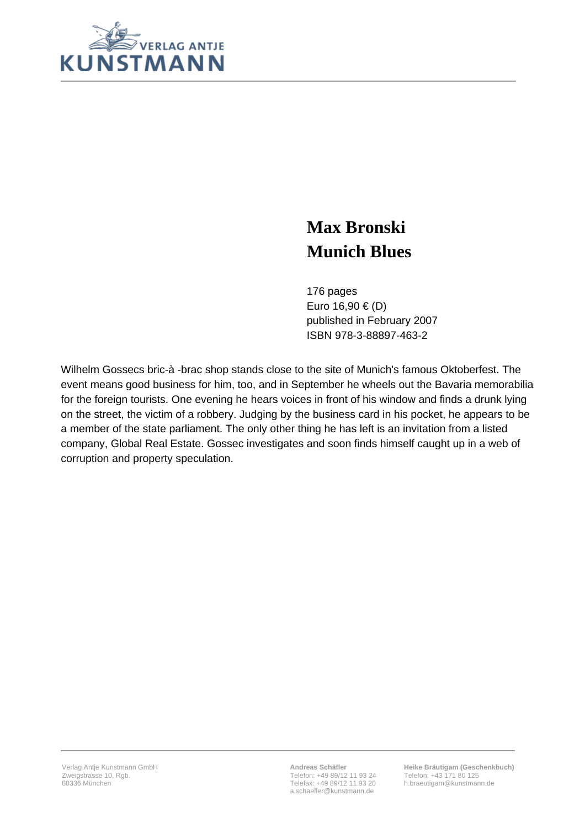

## **Max Bronski Munich Blues**

176 pages Euro 16,90 € (D) published in February 2007 ISBN 978-3-88897-463-2

Wilhelm Gossecs bric-à -brac shop stands close to the site of Munich's famous Oktoberfest. The event means good business for him, too, and in September he wheels out the Bavaria memorabilia for the foreign tourists. One evening he hears voices in front of his window and finds a drunk lying on the street, the victim of a robbery. Judging by the business card in his pocket, he appears to be a member of the state parliament. The only other thing he has left is an invitation from a listed company, Global Real Estate. Gossec investigates and soon finds himself caught up in a web of corruption and property speculation.

**Andreas Schäfler** Telefon: +49 89/12 11 93 24 Telefax: +49 89/12 11 93 20 a.schaefler@kunstmann.de